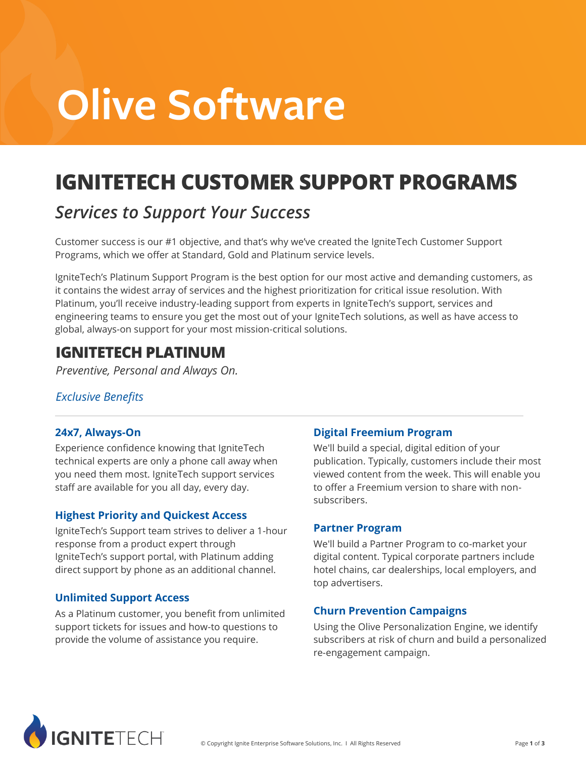# **Olive Software**

# **IGNITETECH CUSTOMER SUPPORT PROGRAMS**

### *Services to Support Your Success*

Customer success is our #1 objective, and that's why we've created the IgniteTech Customer Support Programs, which we offer at Standard, Gold and Platinum service levels.

IgniteTech's Platinum Support Program is the best option for our most active and demanding customers, as it contains the widest array of services and the highest prioritization for critical issue resolution. With Platinum, you'll receive industry-leading support from experts in IgniteTech's support, services and engineering teams to ensure you get the most out of your IgniteTech solutions, as well as have access to global, always-on support for your most mission-critical solutions.

### **IGNITETECH PLATINUM**

*Preventive, Personal and Always On.*

#### *Exclusive Benefits*

#### **24x7, Always-On**

Experience confidence knowing that IgniteTech technical experts are only a phone call away when you need them most. IgniteTech support services staff are available for you all day, every day.

#### **Highest Priority and Quickest Access**

IgniteTech's Support team strives to deliver a 1-hour response from a product expert through IgniteTech's support portal, with Platinum adding direct support by phone as an additional channel.

#### **Unlimited Support Access**

As a Platinum customer, you benefit from unlimited support tickets for issues and how-to questions to provide the volume of assistance you require.

#### **Digital Freemium Program**

We'll build a special, digital edition of your publication. Typically, customers include their most viewed content from the week. This will enable you to offer a Freemium version to share with nonsubscribers.

#### **Partner Program**

We'll build a Partner Program to co-market your digital content. Typical corporate partners include hotel chains, car dealerships, local employers, and top advertisers.

#### **Churn Prevention Campaigns**

Using the Olive Personalization Engine, we identify subscribers at risk of churn and build a personalized re-engagement campaign.

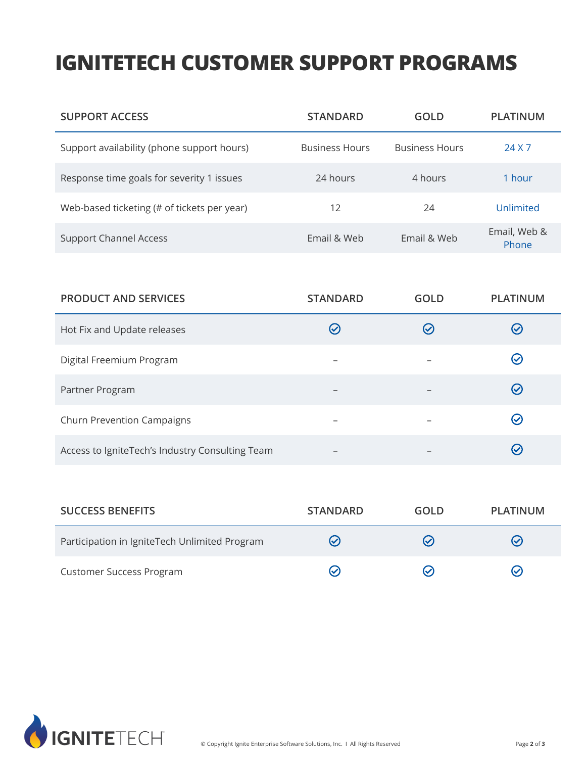## **IGNITETECH CUSTOMER SUPPORT PROGRAMS**

| <b>SUPPORT ACCESS</b>                       | <b>STANDARD</b>       | GOLD                  | <b>PLATINUM</b>       |
|---------------------------------------------|-----------------------|-----------------------|-----------------------|
| Support availability (phone support hours)  | <b>Business Hours</b> | <b>Business Hours</b> | 24 X 7                |
| Response time goals for severity 1 issues   | 24 hours              | 4 hours               | 1 hour                |
| Web-based ticketing (# of tickets per year) | 12                    | 24                    | Unlimited             |
| <b>Support Channel Access</b>               | Email & Web           | Email & Web           | Email, Web &<br>Phone |

| <b>PRODUCT AND SERVICES</b>                     | <b>STANDARD</b>          | GOLD          | <b>PLATINUM</b>      |
|-------------------------------------------------|--------------------------|---------------|----------------------|
| Hot Fix and Update releases                     |                          | $\mathcal{L}$ | $(\checkmark)$       |
| Digital Freemium Program                        |                          |               | $(\checkmark)$       |
| Partner Program                                 | $\overline{\phantom{0}}$ |               | $\bm{\odot}$         |
| <b>Churn Prevention Campaigns</b>               |                          |               | $(\checkmark)$       |
| Access to IgniteTech's Industry Consulting Team |                          |               | $\blacktriangledown$ |

| <b>SUCCESS BENEFITS</b>                       | <b>STANDARD</b> | GOLD                     | PLATINUM       |
|-----------------------------------------------|-----------------|--------------------------|----------------|
| Participation in IgniteTech Unlimited Program | $(\checkmark)$  | $\overline{\mathcal{S}}$ | $(\checkmark)$ |
| <b>Customer Success Program</b>               |                 | ∾                        | $(\checkmark)$ |